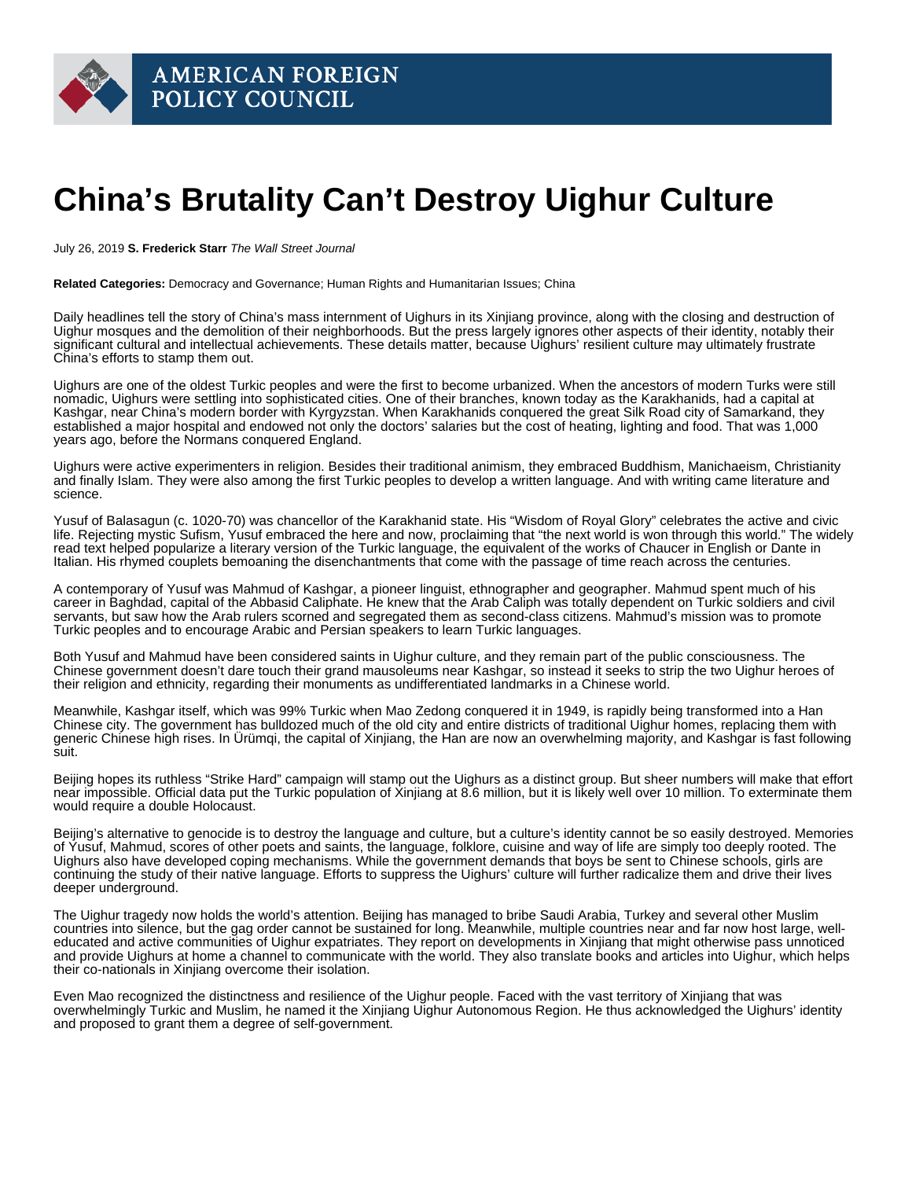

## **China's Brutality Can't Destroy Uighur Culture**

July 26, 2019 **S. Frederick Starr** The Wall Street Journal

**Related Categories:** Democracy and Governance; Human Rights and Humanitarian Issues; China

Daily headlines tell the story of China's mass internment of Uighurs in its Xinjiang province, along with the closing and destruction of Uighur mosques and the demolition of their neighborhoods. But the press largely ignores other aspects of their identity, notably their significant cultural and intellectual achievements. These details matter, because Uighurs' resilient culture may ultimately frustrate China's efforts to stamp them out.

Uighurs are one of the oldest Turkic peoples and were the first to become urbanized. When the ancestors of modern Turks were still nomadic, Uighurs were settling into sophisticated cities. One of their branches, known today as the Karakhanids, had a capital at Kashgar, near China's modern border with Kyrgyzstan. When Karakhanids conquered the great Silk Road city of Samarkand, they established a major hospital and endowed not only the doctors' salaries but the cost of heating, lighting and food. That was 1,000 years ago, before the Normans conquered England.

Uighurs were active experimenters in religion. Besides their traditional animism, they embraced Buddhism, Manichaeism, Christianity and finally Islam. They were also among the first Turkic peoples to develop a written language. And with writing came literature and science.

Yusuf of Balasagun (c. 1020-70) was chancellor of the Karakhanid state. His "Wisdom of Royal Glory" celebrates the active and civic life. Rejecting mystic Sufism, Yusuf embraced the here and now, proclaiming that "the next world is won through this world." The widely read text helped popularize a literary version of the Turkic language, the equivalent of the works of Chaucer in English or Dante in Italian. His rhymed couplets bemoaning the disenchantments that come with the passage of time reach across the centuries.

A contemporary of Yusuf was Mahmud of Kashgar, a pioneer linguist, ethnographer and geographer. Mahmud spent much of his career in Baghdad, capital of the Abbasid Caliphate. He knew that the Arab Caliph was totally dependent on Turkic soldiers and civil servants, but saw how the Arab rulers scorned and segregated them as second-class citizens. Mahmud's mission was to promote Turkic peoples and to encourage Arabic and Persian speakers to learn Turkic languages.

Both Yusuf and Mahmud have been considered saints in Uighur culture, and they remain part of the public consciousness. The Chinese government doesn't dare touch their grand mausoleums near Kashgar, so instead it seeks to strip the two Uighur heroes of their religion and ethnicity, regarding their monuments as undifferentiated landmarks in a Chinese world.

Meanwhile, Kashgar itself, which was 99% Turkic when Mao Zedong conquered it in 1949, is rapidly being transformed into a Han Chinese city. The government has bulldozed much of the old city and entire districts of traditional Uighur homes, replacing them with generic Chinese high rises. In Ürümqi, the capital of Xinjiang, the Han are now an overwhelming majority, and Kashgar is fast following suit.

Beijing hopes its ruthless "Strike Hard" campaign will stamp out the Uighurs as a distinct group. But sheer numbers will make that effort near impossible. Official data put the Turkic population of Xinjiang at 8.6 million, but it is likely well over 10 million. To exterminate them would require a double Holocaust.

Beijing's alternative to genocide is to destroy the language and culture, but a culture's identity cannot be so easily destroyed. Memories of Yusuf, Mahmud, scores of other poets and saints, the language, folklore, cuisine and way of life are simply too deeply rooted. The Uighurs also have developed coping mechanisms. While the government demands that boys be sent to Chinese schools, girls are continuing the study of their native language. Efforts to suppress the Uighurs' culture will further radicalize them and drive their lives deeper underground.

The Uighur tragedy now holds the world's attention. Beijing has managed to bribe Saudi Arabia, Turkey and several other Muslim countries into silence, but the gag order cannot be sustained for long. Meanwhile, multiple countries near and far now host large, welleducated and active communities of Uighur expatriates. They report on developments in Xinjiang that might otherwise pass unnoticed and provide Uighurs at home a channel to communicate with the world. They also translate books and articles into Uighur, which helps their co-nationals in Xinjiang overcome their isolation.

Even Mao recognized the distinctness and resilience of the Uighur people. Faced with the vast territory of Xinjiang that was overwhelmingly Turkic and Muslim, he named it the Xinjiang Uighur Autonomous Region. He thus acknowledged the Uighurs' identity and proposed to grant them a degree of self-government.